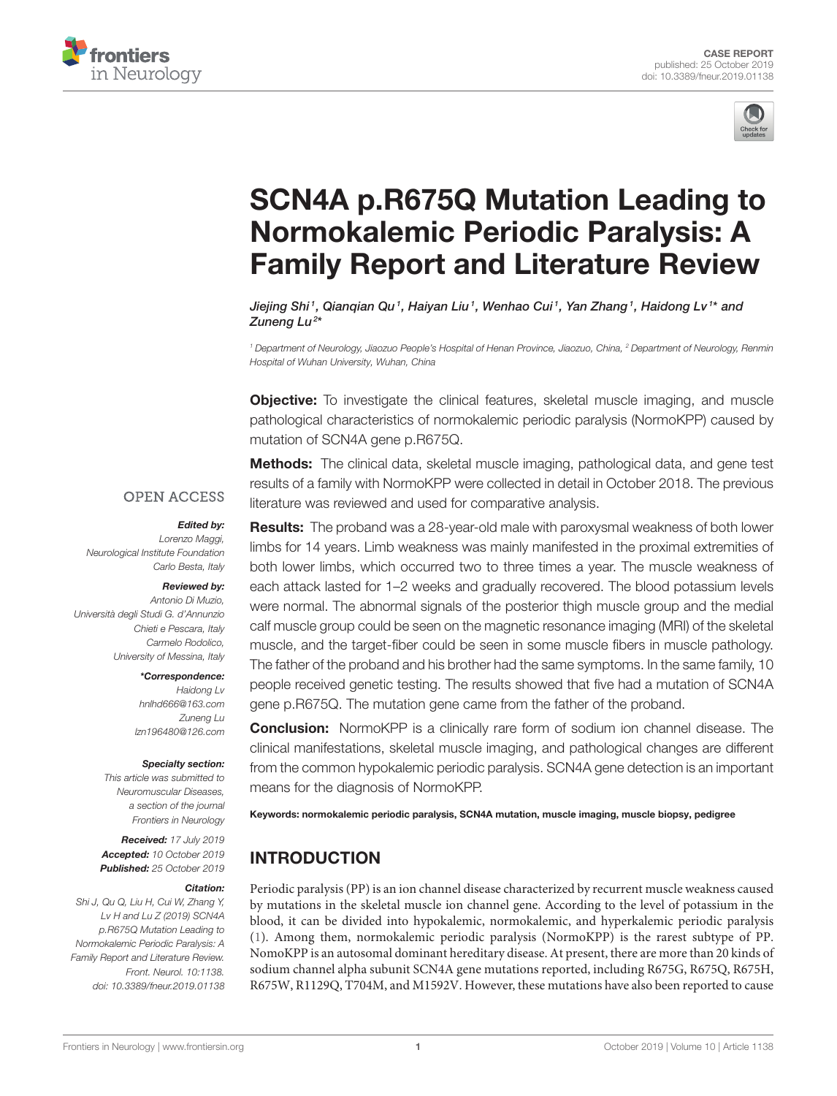



# SCN4A p.R675Q Mutation Leading to Normokalemic Periodic Paralysis: A [Family Report and Literature Review](https://www.frontiersin.org/articles/10.3389/fneur.2019.01138/full)

Jiejing Shi<sup>1</sup>, Qianqian Qu<sup>1</sup>, Haiyan Liu<sup>1</sup>, Wenhao Cui<sup>1</sup>, Yan Zhang<sup>1</sup>, [Haidong Lv](http://loop.frontiersin.org/people/774306/overview)<sup>1\*</sup> and Zuneng Lu<sup>2</sup>\*

<sup>1</sup> Department of Neurology, Jiaozuo People's Hospital of Henan Province, Jiaozuo, China, <sup>2</sup> Department of Neurology, Renmin Hospital of Wuhan University, Wuhan, China

**Objective:** To investigate the clinical features, skeletal muscle imaging, and muscle pathological characteristics of normokalemic periodic paralysis (NormoKPP) caused by mutation of SCN4A gene p.R675Q.

**Methods:** The clinical data, skeletal muscle imaging, pathological data, and gene test results of a family with NormoKPP were collected in detail in October 2018. The previous literature was reviewed and used for comparative analysis.

#### **OPEN ACCESS**

#### Edited by:

Lorenzo Maggi, Neurological Institute Foundation Carlo Besta, Italy

#### Reviewed by: Antonio Di Muzio,

Università degli Studi G. d'Annunzio Chieti e Pescara, Italy Carmelo Rodolico, University of Messina, Italy

#### \*Correspondence:

Haidong Lv [hnlhd666@163.com](mailto:hnlhd666@163.com) Zuneng Lu [lzn196480@126.com](mailto:lzn196480@126.com)

#### Specialty section:

This article was submitted to Neuromuscular Diseases, a section of the journal Frontiers in Neurology

Received: 17 July 2019 Accepted: 10 October 2019 Published: 25 October 2019

#### Citation:

Shi J, Qu Q, Liu H, Cui W, Zhang Y, Lv H and Lu Z (2019) SCN4A p.R675Q Mutation Leading to Normokalemic Periodic Paralysis: A Family Report and Literature Review. Front. Neurol. 10:1138. doi: [10.3389/fneur.2019.01138](https://doi.org/10.3389/fneur.2019.01138) Results: The proband was a 28-year-old male with paroxysmal weakness of both lower limbs for 14 years. Limb weakness was mainly manifested in the proximal extremities of both lower limbs, which occurred two to three times a year. The muscle weakness of each attack lasted for 1–2 weeks and gradually recovered. The blood potassium levels were normal. The abnormal signals of the posterior thigh muscle group and the medial calf muscle group could be seen on the magnetic resonance imaging (MRI) of the skeletal muscle, and the target-fiber could be seen in some muscle fibers in muscle pathology. The father of the proband and his brother had the same symptoms. In the same family, 10 people received genetic testing. The results showed that five had a mutation of SCN4A gene p.R675Q. The mutation gene came from the father of the proband.

**Conclusion:** NormoKPP is a clinically rare form of sodium ion channel disease. The clinical manifestations, skeletal muscle imaging, and pathological changes are different from the common hypokalemic periodic paralysis. SCN4A gene detection is an important means for the diagnosis of NormoKPP.

Keywords: normokalemic periodic paralysis, SCN4A mutation, muscle imaging, muscle biopsy, pedigree

# INTRODUCTION

Periodic paralysis (PP) is an ion channel disease characterized by recurrent muscle weakness caused by mutations in the skeletal muscle ion channel gene. According to the level of potassium in the blood, it can be divided into hypokalemic, normokalemic, and hyperkalemic periodic paralysis [\(1\)](#page-4-0). Among them, normokalemic periodic paralysis (NormoKPP) is the rarest subtype of PP. NomoKPP is an autosomal dominant hereditary disease. At present, there are more than 20 kinds of sodium channel alpha subunit SCN4A gene mutations reported, including R675G, R675Q, R675H, R675W, R1129Q, T704M, and M1592V. However, these mutations have also been reported to cause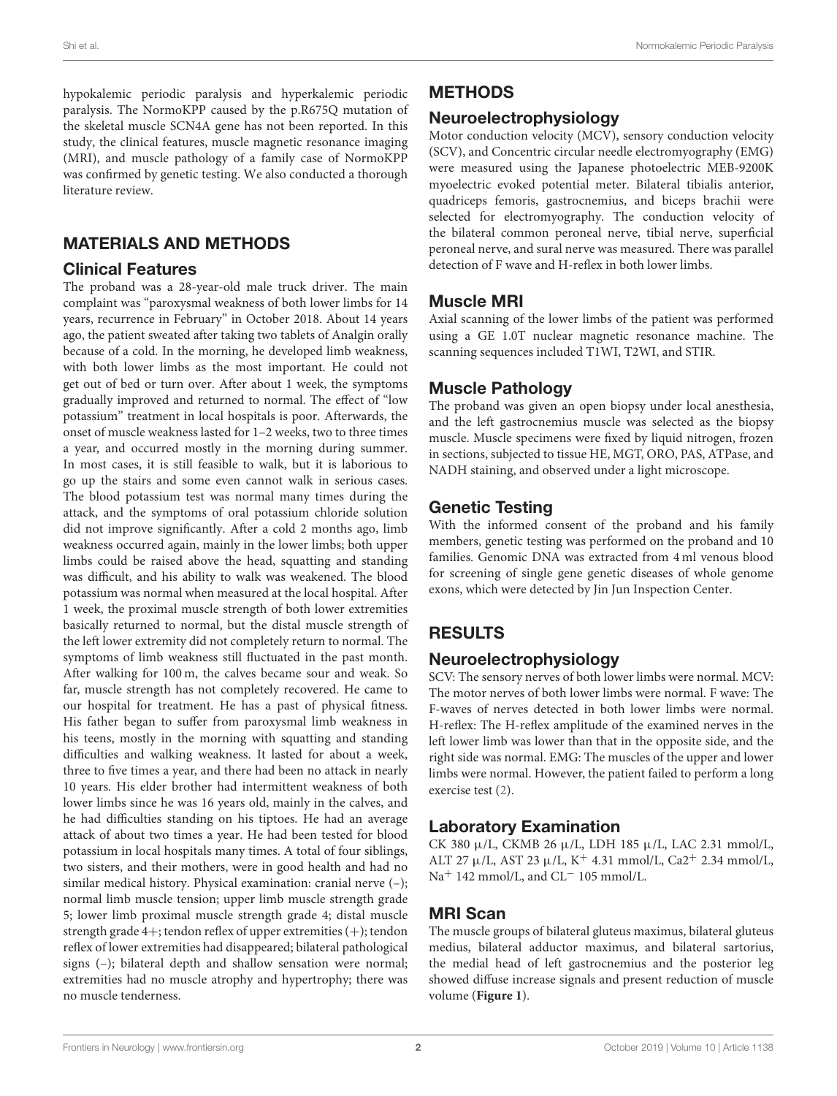hypokalemic periodic paralysis and hyperkalemic periodic paralysis. The NormoKPP caused by the p.R675Q mutation of the skeletal muscle SCN4A gene has not been reported. In this study, the clinical features, muscle magnetic resonance imaging (MRI), and muscle pathology of a family case of NormoKPP was confirmed by genetic testing. We also conducted a thorough literature review.

### MATERIALS AND METHODS

#### Clinical Features

The proband was a 28-year-old male truck driver. The main complaint was "paroxysmal weakness of both lower limbs for 14 years, recurrence in February" in October 2018. About 14 years ago, the patient sweated after taking two tablets of Analgin orally because of a cold. In the morning, he developed limb weakness, with both lower limbs as the most important. He could not get out of bed or turn over. After about 1 week, the symptoms gradually improved and returned to normal. The effect of "low potassium" treatment in local hospitals is poor. Afterwards, the onset of muscle weakness lasted for 1–2 weeks, two to three times a year, and occurred mostly in the morning during summer. In most cases, it is still feasible to walk, but it is laborious to go up the stairs and some even cannot walk in serious cases. The blood potassium test was normal many times during the attack, and the symptoms of oral potassium chloride solution did not improve significantly. After a cold 2 months ago, limb weakness occurred again, mainly in the lower limbs; both upper limbs could be raised above the head, squatting and standing was difficult, and his ability to walk was weakened. The blood potassium was normal when measured at the local hospital. After 1 week, the proximal muscle strength of both lower extremities basically returned to normal, but the distal muscle strength of the left lower extremity did not completely return to normal. The symptoms of limb weakness still fluctuated in the past month. After walking for 100 m, the calves became sour and weak. So far, muscle strength has not completely recovered. He came to our hospital for treatment. He has a past of physical fitness. His father began to suffer from paroxysmal limb weakness in his teens, mostly in the morning with squatting and standing difficulties and walking weakness. It lasted for about a week, three to five times a year, and there had been no attack in nearly 10 years. His elder brother had intermittent weakness of both lower limbs since he was 16 years old, mainly in the calves, and he had difficulties standing on his tiptoes. He had an average attack of about two times a year. He had been tested for blood potassium in local hospitals many times. A total of four siblings, two sisters, and their mothers, were in good health and had no similar medical history. Physical examination: cranial nerve (–); normal limb muscle tension; upper limb muscle strength grade 5; lower limb proximal muscle strength grade 4; distal muscle strength grade 4+; tendon reflex of upper extremities (+); tendon reflex of lower extremities had disappeared; bilateral pathological signs (–); bilateral depth and shallow sensation were normal; extremities had no muscle atrophy and hypertrophy; there was no muscle tenderness.

# METHODS

## Neuroelectrophysiology

Motor conduction velocity (MCV), sensory conduction velocity (SCV), and Concentric circular needle electromyography (EMG) were measured using the Japanese photoelectric MEB-9200K myoelectric evoked potential meter. Bilateral tibialis anterior, quadriceps femoris, gastrocnemius, and biceps brachii were selected for electromyography. The conduction velocity of the bilateral common peroneal nerve, tibial nerve, superficial peroneal nerve, and sural nerve was measured. There was parallel detection of F wave and H-reflex in both lower limbs.

### Muscle MRI

Axial scanning of the lower limbs of the patient was performed using a GE 1.0T nuclear magnetic resonance machine. The scanning sequences included T1WI, T2WI, and STIR.

# Muscle Pathology

The proband was given an open biopsy under local anesthesia, and the left gastrocnemius muscle was selected as the biopsy muscle. Muscle specimens were fixed by liquid nitrogen, frozen in sections, subjected to tissue HE, MGT, ORO, PAS, ATPase, and NADH staining, and observed under a light microscope.

# Genetic Testing

With the informed consent of the proband and his family members, genetic testing was performed on the proband and 10 families. Genomic DNA was extracted from 4 ml venous blood for screening of single gene genetic diseases of whole genome exons, which were detected by Jin Jun Inspection Center.

# RESULTS

# Neuroelectrophysiology

SCV: The sensory nerves of both lower limbs were normal. MCV: The motor nerves of both lower limbs were normal. F wave: The F-waves of nerves detected in both lower limbs were normal. H-reflex: The H-reflex amplitude of the examined nerves in the left lower limb was lower than that in the opposite side, and the right side was normal. EMG: The muscles of the upper and lower limbs were normal. However, the patient failed to perform a long exercise test [\(2\)](#page-4-1).

# Laboratory Examination

CK 380 µ/L, CKMB 26 µ/L, LDH 185 µ/L, LAC 2.31 mmol/L, ALT 27  $\mu$ /L, AST 23  $\mu$ /L, K<sup>+</sup> 4.31 mmol/L, Ca2<sup>+</sup> 2.34 mmol/L, Na<sup>+</sup> 142 mmol/L, and CL<sup>-</sup> 105 mmol/L.

# MRI Scan

The muscle groups of bilateral gluteus maximus, bilateral gluteus medius, bilateral adductor maximus, and bilateral sartorius, the medial head of left gastrocnemius and the posterior leg showed diffuse increase signals and present reduction of muscle volume (**[Figure 1](#page-2-0)**).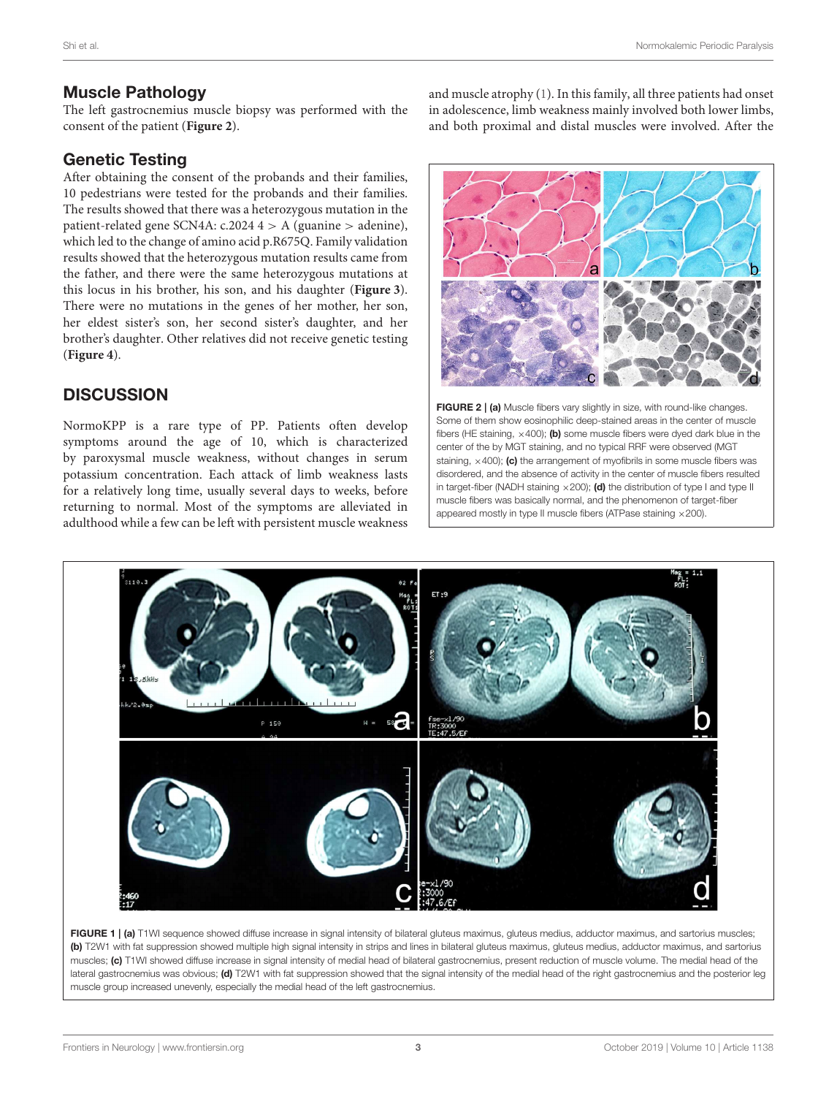#### Muscle Pathology

The left gastrocnemius muscle biopsy was performed with the consent of the patient (**[Figure 2](#page-2-1)**).

#### Genetic Testing

After obtaining the consent of the probands and their families, 10 pedestrians were tested for the probands and their families. The results showed that there was a heterozygous mutation in the patient-related gene SCN4A:  $c.2024$  4 > A (guanine > adenine), which led to the change of amino acid p.R675Q. Family validation results showed that the heterozygous mutation results came from the father, and there were the same heterozygous mutations at this locus in his brother, his son, and his daughter (**[Figure 3](#page-3-0)**). There were no mutations in the genes of her mother, her son, her eldest sister's son, her second sister's daughter, and her brother's daughter. Other relatives did not receive genetic testing (**[Figure 4](#page-3-1)**).

### **DISCUSSION**

NormoKPP is a rare type of PP. Patients often develop symptoms around the age of 10, which is characterized by paroxysmal muscle weakness, without changes in serum potassium concentration. Each attack of limb weakness lasts for a relatively long time, usually several days to weeks, before returning to normal. Most of the symptoms are alleviated in adulthood while a few can be left with persistent muscle weakness

and muscle atrophy [\(1\)](#page-4-0). In this family, all three patients had onset in adolescence, limb weakness mainly involved both lower limbs, and both proximal and distal muscles were involved. After the



<span id="page-2-1"></span>FIGURE 2 | (a) Muscle fibers vary slightly in size, with round-like changes. Some of them show eosinophilic deep-stained areas in the center of muscle fibers (HE staining,  $\times$ 400); (b) some muscle fibers were dyed dark blue in the center of the by MGT staining, and no typical RRF were observed (MGT staining,  $\times$ 400); (c) the arrangement of myofibrils in some muscle fibers was disordered, and the absence of activity in the center of muscle fibers resulted in target-fiber (NADH staining  $\times$  200); (d) the distribution of type I and type II muscle fibers was basically normal, and the phenomenon of target-fiber appeared mostly in type II muscle fibers (ATPase staining ×200).



<span id="page-2-0"></span>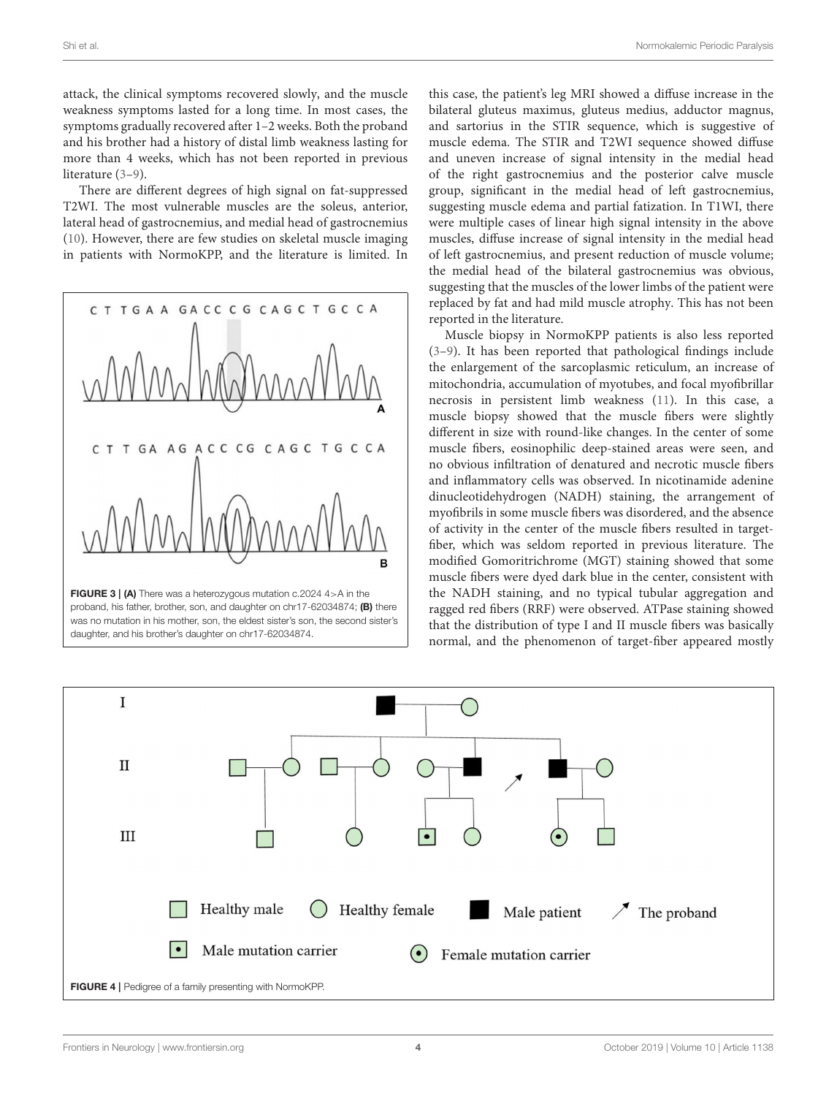attack, the clinical symptoms recovered slowly, and the muscle weakness symptoms lasted for a long time. In most cases, the symptoms gradually recovered after 1–2 weeks. Both the proband and his brother had a history of distal limb weakness lasting for more than 4 weeks, which has not been reported in previous literature [\(3–](#page-4-2)[9\)](#page-4-3).

There are different degrees of high signal on fat-suppressed T2WI. The most vulnerable muscles are the soleus, anterior, lateral head of gastrocnemius, and medial head of gastrocnemius [\(10\)](#page-4-4). However, there are few studies on skeletal muscle imaging in patients with NormoKPP, and the literature is limited. In



<span id="page-3-0"></span>FIGURE 3 | (A) There was a heterozygous mutation c.2024 4>A in the proband, his father, brother, son, and daughter on chr17-62034874; (B) there was no mutation in his mother, son, the eldest sister's son, the second sister's daughter, and his brother's daughter on chr17-62034874.

this case, the patient's leg MRI showed a diffuse increase in the bilateral gluteus maximus, gluteus medius, adductor magnus, and sartorius in the STIR sequence, which is suggestive of muscle edema. The STIR and T2WI sequence showed diffuse and uneven increase of signal intensity in the medial head of the right gastrocnemius and the posterior calve muscle group, significant in the medial head of left gastrocnemius, suggesting muscle edema and partial fatization. In T1WI, there were multiple cases of linear high signal intensity in the above muscles, diffuse increase of signal intensity in the medial head of left gastrocnemius, and present reduction of muscle volume; the medial head of the bilateral gastrocnemius was obvious, suggesting that the muscles of the lower limbs of the patient were replaced by fat and had mild muscle atrophy. This has not been reported in the literature.

Muscle biopsy in NormoKPP patients is also less reported [\(3–](#page-4-2)[9\)](#page-4-3). It has been reported that pathological findings include the enlargement of the sarcoplasmic reticulum, an increase of mitochondria, accumulation of myotubes, and focal myofibrillar necrosis in persistent limb weakness [\(11\)](#page-4-5). In this case, a muscle biopsy showed that the muscle fibers were slightly different in size with round-like changes. In the center of some muscle fibers, eosinophilic deep-stained areas were seen, and no obvious infiltration of denatured and necrotic muscle fibers and inflammatory cells was observed. In nicotinamide adenine dinucleotidehydrogen (NADH) staining, the arrangement of myofibrils in some muscle fibers was disordered, and the absence of activity in the center of the muscle fibers resulted in targetfiber, which was seldom reported in previous literature. The modified Gomoritrichrome (MGT) staining showed that some muscle fibers were dyed dark blue in the center, consistent with the NADH staining, and no typical tubular aggregation and ragged red fibers (RRF) were observed. ATPase staining showed that the distribution of type I and II muscle fibers was basically normal, and the phenomenon of target-fiber appeared mostly

<span id="page-3-1"></span>